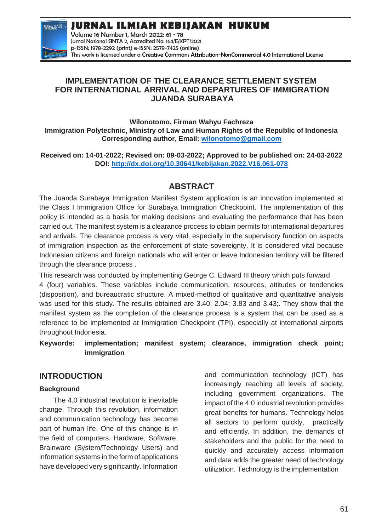**JURNAL ILMIAH**<br>KEBIJAKAN HUKUP

**JURNAL ILMIAH KEBIJAKAN HUKUM**

Volume 16 Number 1, March 2022: 61 - 78 Jurnal Nasional SINTA 2, Accredited No: 164/E/KPT/2021 p-ISSN: 1978-2292 (print) e-ISSN: 2579-7425 (online) This work is licensed under a [Creative Commons Attribution-NonCommercial 4.0 International License](https://creativecommons.org/licenses/by-nc/4.0/)

## **IMPLEMENTATION OF THE CLEARANCE SETTLEMENT SYSTEM FOR INTERNATIONAL ARRIVAL AND DEPARTURES OF IMMIGRATION JUANDA SURABAYA**

**Wilonotomo, Firman Wahyu Fachreza Immigration Polytechnic, Ministry of Law and Human Rights of the Republic of Indonesia Corresponding author, Email: [wilonotomo@gmail.com](mailto:wilonotomo@gmail.com)**

**Received on: 14-01-2022; Revised on: 09-03-2022; Approved to be published on: 24-03-2022 DOI:<http://dx.doi.org/10.30641/kebijakan.2022.V16.061-078>**

# **ABSTRACT**

The Juanda Surabaya Immigration Manifest System application is an innovation implemented at the Class I Immigration Office for Surabaya Immigration Checkpoint. The implementation of this policy is intended as a basis for making decisions and evaluating the performance that has been carried out. The manifest system is a clearance process to obtain permits for international departures and arrivals. The clearance process is very vital, especially in the supervisory function on aspects of immigration inspection as the enforcement of state sovereignty. It is considered vital because Indonesian citizens and foreign nationals who will enter or leave Indonesian territory will be filtered through the clearance process .

This research was conducted by implementing George C. Edward III theory which puts forward 4 (four) variables. These variables include communication, resources, attitudes or tendencies (disposition), and bureaucratic structure. A mixed-method of qualitative and quantitative analysis was used for this study. The results obtained are 3.40; 2.04; 3.83 and 3.43;. They show that the manifest system as the completion of the clearance process is a system that can be used as a reference to be implemented at Immigration Checkpoint (TPI), especially at international airports throughout Indonesia.

## **Keywords: implementation; manifest system; clearance, immigration check point; immigration**

# **INTRODUCTION**

## **Background**

The 4.0 industrial revolution is inevitable change. Through this revolution, information and communication technology has become part of human life. One of this change is in the field of computers. Hardware, Software, Brainware (System/Technology Users) and information systems in the form of applications have developed very significantly. Information

and communication technology (ICT) has increasingly reaching all levels of society, including government organizations. The impact of the 4.0 industrial revolution provides great benefits for humans. Technology helps all sectors to perform quickly, practically and efficiently. In addition, the demands of stakeholders and the public for the need to quickly and accurately access information and data adds the greater need of technology utilization. Technology is theimplementation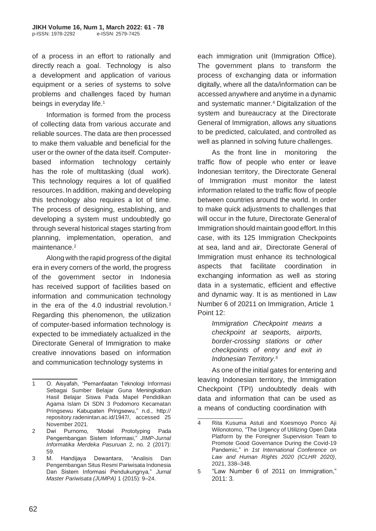of a process in an effort to rationally and directly reach a goal. Technology is also a development and application of various equipment or a series of systems to solve problems and challenges faced by human beings in everyday life.<sup>1</sup>

Information is formed from the process of collecting data from various accurate and reliable sources. The data are then processed to make them valuable and beneficial for the user or the owner of the data itself. Computerbased information technology certainly has the role of multitasking (dual work). This technology requires a lot of qualified resources. In addition, making and developing this technology also requires a lot of time. The process of designing, establishing, and developing a system must undoubtedly go through several historical stages starting from planning, implementation, operation, and maintenance.<sup>2</sup>

Along with the rapid progress of the digital era in every corners of the world, the progress of the government sector in Indonesia has received support of facilities based on information and communication technology in the era of the 4.0 industrial revolution.<sup>3</sup> Regarding this phenomenon, the utilization of computer-based information technology is expected to be immediately actualized in the Directorate General of Immigration to make creative innovations based on information and communication technology systems in

each immigration unit (Immigration Office). The government plans to transform the process of exchanging data or information digitally, where all the data/information can be accessed anywhere and anytime in a dynamic and systematic manner.<sup>4</sup>Digitalization of the system and bureaucracy at the Directorate General of Immigration, allows any situations to be predicted, calculated, and controlled as well as planned in solving future challenges.

As the front line in monitoring the traffic flow of people who enter or leave Indonesian territory, the Directorate General of Immigration must monitor the latest information related to the traffic flow of people between countries around the world. In order to make quick adjustments to challenges that will occur in the future, Directorate Generalof Immigration should maintain good effort. In this case, with its 125 Immigration Checkpoints at sea, land and air, Directorate General of Immigration must enhance its technological aspects that facilitate coordination in exchanging information as well as storing data in a systematic, efficient and effective and dynamic way. It is as mentioned in Law Number 6 of 20211 on Immigration, Article 1 Point 12:

> *Immigration Checkpoint means a checkpoint at seaports, airports, border-crossing stations or other checkpoints of entry and exit in Indonesian Territory.<sup>5</sup>*

As one of the initial gates for entering and leaving Indonesian territory, the Immigration Checkpoint (TPI) undoubtedly deals with data and information that can be used as a means of conducting coordination with

<sup>1</sup> O. Aisyafah, "Pemanfaatan Teknologi Informasi Sebagai Sumber Belajar Guna Meningkatkan Hasil Belajar Siswa Pada Mapel Pendidikan Agama Islam Di SDN 3 Podomoro Kecamatan Pringsewu Kabupaten Pringsewu," n.d., http:// repository.radenintan.ac.id/1947/, accessed 25 November 2021.

<sup>2</sup> Dwi Purnomo, "Model Prototyping Pada Pengembangan Sistem Informasi," *JIMP-Jurnal Informatika Merdeka Pasuruan* 2, no. 2 (2017): 59.

<sup>3</sup> M. Handijaya Dewantara, "Analisis Dan Pengembangan Situs Resmi Pariwisata Indonesia Dan Sistem Informasi Pendukungnya," *Jurnal Master Pariwisata (JUMPA)* 1 (2015): 9–24.

<sup>4</sup> Rita Kusuma Astuti and Koesmoyo Ponco Aji Wilonotomo, "The Urgency of Utilizing Open Data Platform by the Foreigner Supervision Team to Promote Good Governance During the Covid-19 Pandemic," in *1st International Conference on Law and Human Rights 2020 (ICLHR 2020)*, 2021, 338–348.

<sup>5</sup> "Law Number 6 of 2011 on Immigration," 2011: 3.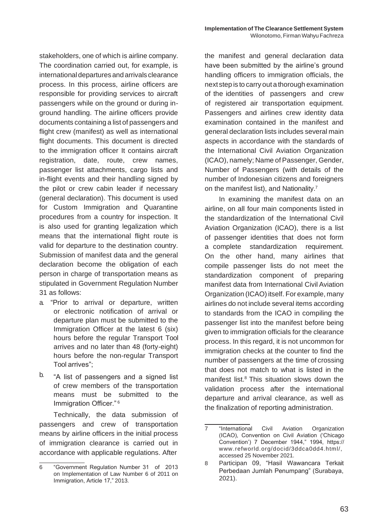stakeholders, one of which is airline company. The coordination carried out, for example, is internationaldepartures andarrivals clearance process. In this process, airline officers are responsible for providing services to aircraft passengers while on the ground or during inground handling. The airline officers provide documents containing a list of passengers and flight crew (manifest) as well as international flight documents. This document is directed to the immigration officer It contains aircraft registration, date, route, crew names, passenger list attachments, cargo lists and in-flight events and their handling signed by the pilot or crew cabin leader if necessary (general declaration). This document is used for Custom Immigration and Quarantine procedures from a country for inspection. It is also used for granting legalization which means that the international flight route is valid for departure to the destination country. Submission of manifest data and the general declaration become the obligation of each person in charge of transportation means as stipulated in Government Regulation Number 31 as follows:

- a. "Prior to arrival or departure, written or electronic notification of arrival or departure plan must be submitted to the Immigration Officer at the latest 6 (six) hours before the regular Transport Tool arrives and no later than 48 (forty-eight) hours before the non-regular Transport Tool arrives";
- b. "A list of passengers and a signed list of crew members of the transportation means must be submitted to the Immigration Officer." <sup>6</sup>

Technically, the data submission of passengers and crew of transportation means by airline officers in the initial process of immigration clearance is carried out in accordance with applicable regulations. After

the manifest and general declaration data have been submitted by the airline's ground handling officers to immigration officials, the nextstep is to carry out a thorough examination of the identities of passengers and crew of registered air transportation equipment. Passengers and airlines crew identity data examination contained in the manifest and general declaration lists includes several main aspects in accordance with the standards of the International Civil Aviation Organization (ICAO), namely; Name of Passenger, Gender, Number of Passengers (with details of the number of Indonesian citizens and foreigners on the manifest list), and Nationality.<sup>7</sup>

In examining the manifest data on an airline, on all four main components listed in the standardization of the International Civil Aviation Organization (ICAO), there is a list of passenger identities that does not form a complete standardization requirement. On the other hand, many airlines that compile passenger lists do not meet the standardization component of preparing manifest data from International Civil Aviation Organization (ICAO) itself. For example, many airlines do not include several items according to standards from the ICAO in compiling the passenger list into the manifest before being given to immigration officials for the clearance process. In this regard, it is not uncommon for immigration checks at the counter to find the number of passengers at the time of crossing that does not match to what is listed in the manifest list.<sup>8</sup> This situation slows down the validation process after the international departure and arrival clearance, as well as the finalization of reporting administration.

<sup>6</sup> "Government Regulation Number 31 of 2013 on Implementation of Law Number 6 of 2011 on Immigration, Article 17," 2013.

<sup>7 &</sup>quot;International Civil Aviation Organization (ICAO), Convention on Civil Aviation ('Chicago Convention') 7 December 1944," 1994, https:// [www.refworld.org/docid/3ddca0dd4.html/,](http://www.refworld.org/docid/3ddca0dd4.html/) accessed 25 November 2021.

<sup>8</sup> Participan 09, "Hasil Wawancara Terkait Perbedaan Jumlah Penumpang" (Surabaya, 2021).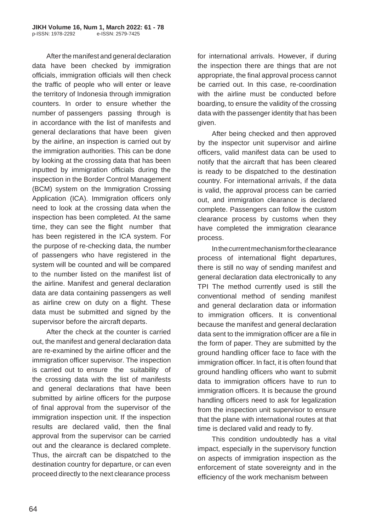Afterthe manifest and general declaration data have been checked by immigration officials, immigration officials will then check the traffic of people who will enter or leave the territory of Indonesia through immigration counters. In order to ensure whether the number of passengers passing through is in accordance with the list of manifests and general declarations that have been given by the airline, an inspection is carried out by the immigration authorities. This can be done by looking at the crossing data that has been inputted by immigration officials during the inspection in the Border Control Management (BCM) system on the Immigration Crossing Application (ICA). Immigration officers only need to look at the crossing data when the inspection has been completed. At the same time, they can see the flight number that has been registered in the ICA system. For the purpose of re-checking data, the number of passengers who have registered in the system will be counted and will be compared to the number listed on the manifest list of the airline. Manifest and general declaration data are data containing passengers as well as airline crew on duty on a flight. These data must be submitted and signed by the supervisor before the aircraft departs.

After the check at the counter is carried out, the manifest and general declaration data are re-examined by the airline officer and the immigration officer supervisor. The inspection is carried out to ensure the suitability of the crossing data with the list of manifests and general declarations that have been submitted by airline officers for the purpose of final approval from the supervisor of the immigration inspection unit. If the inspection results are declared valid, then the final approval from the supervisor can be carried out and the clearance is declared complete. Thus, the aircraft can be dispatched to the destination country for departure, or can even proceed directly to the next clearance process

for international arrivals. However, if during the inspection there are things that are not appropriate, the final approval process cannot be carried out. In this case, re-coordination with the airline must be conducted before boarding, to ensure the validity of the crossing data with the passenger identity that has been given.

After being checked and then approved by the inspector unit supervisor and airline officers, valid manifest data can be used to notify that the aircraft that has been cleared is ready to be dispatched to the destination country. For international arrivals, if the data is valid, the approval process can be carried out, and immigration clearance is declared complete. Passengers can follow the custom clearance process by customs when they have completed the immigration clearance process.

Inthecurrentmechanismfortheclearance process of international flight departures, there is still no way of sending manifest and general declaration data electronically to any TPI The method currently used is still the conventional method of sending manifest and general declaration data or information to immigration officers. It is conventional because the manifest and general declaration data sent to the immigration officer are a file in the form of paper. They are submitted by the ground handling officer face to face with the immigration officer. In fact, it is often found that ground handling officers who want to submit data to immigration officers have to run to immigration officers. It is because the ground handling officers need to ask for legalization from the inspection unit supervisor to ensure that the plane with international routes at that time is declared valid and ready to fly.

This condition undoubtedly has a vital impact, especially in the supervisory function on aspects of immigration inspection as the enforcement of state sovereignty and in the efficiency of the work mechanism between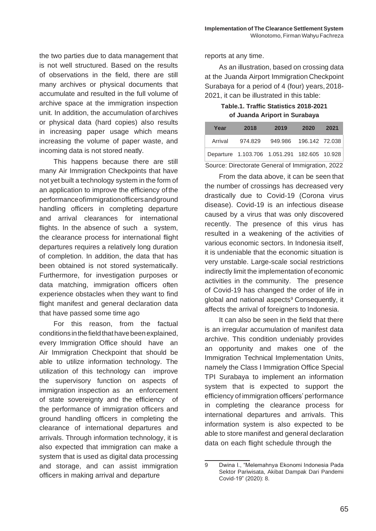the two parties due to data management that is not well structured. Based on the results of observations in the field, there are still many archives or physical documents that accumulate and resulted in the full volume of archive space at the immigration inspection unit. In addition, the accumulation ofarchives or physical data (hard copies) also results in increasing paper usage which means increasing the volume of paper waste, and incoming data is not stored neatly.

This happens because there are still many Air Immigration Checkpoints that have not yet built a technology system in the form of an application to improve the efficiency ofthe performanceofimmigrationofficersandground handling officers in completing departure and arrival clearances for international flights. In the absence of such a system, the clearance process for international flight departures requires a relatively long duration of completion. In addition, the data that has been obtained is not stored systematically. Furthermore, for investigation purposes or data matching, immigration officers often experience obstacles when they want to find flight manifest and general declaration data that have passed some time ago

For this reason, from the factual conditionsinthefieldthathavebeenexplained, every Immigration Office should have an Air Immigration Checkpoint that should be able to utilize information technology. The utilization of this technology can improve the supervisory function on aspects of immigration inspection as an enforcement of state sovereignty and the efficiency of the performance of immigration officers and ground handling officers in completing the clearance of international departures and arrivals. Through information technology, it is also expected that immigration can make a system that is used as digital data processing and storage, and can assist immigration officers in making arrival and departure

reports at any time.

As an illustration, based on crossing data at the Juanda Airport Immigration Checkpoint Surabaya for a period of 4 (four) years, 2018- 2021, it can be illustrated in this table:

**Table.1. Traffic Statistics 2018-2021 of Juanda Ariport in Surabaya**

| Year                                             | 2018                                         | 2019                     | 2020 | 2021 |
|--------------------------------------------------|----------------------------------------------|--------------------------|------|------|
| Arrival                                          | 974.829                                      | 949.986  196.142  72.038 |      |      |
|                                                  | Departure 1.103.706 1.051.291 182.605 10.928 |                          |      |      |
| Source: Directorate General of Immigration, 2022 |                                              |                          |      |      |

From the data above, it can be seen that the number of crossings has decreased very drastically due to Covid-19 (Corona virus disease). Covid-19 is an infectious disease caused by a virus that was only discovered recently. The presence of this virus has resulted in a weakening of the activities of various economic sectors. In Indonesia itself, it is undeniable that the economic situation is very unstable. Large-scale social restrictions indirectly limit the implementation of economic activities in the community. The presence of Covid-19 has changed the order of life in global and national aspects<sup>9</sup> Consequently, it affects the arrival of foreigners to Indonesia.

It can also be seen in the field that there is an irregular accumulation of manifest data archive. This condition undeniably provides an opportunity and makes one of the Immigration Technical Implementation Units, namely the Class I Immigration Office Special TPI Surabaya to implement an information system that is expected to support the efficiency of immigration officers' performance in completing the clearance process for international departures and arrivals. This information system is also expected to be able to store manifest and general declaration data on each flight schedule through the

<sup>9</sup> Dwina I., "Melemahnya Ekonomi Indonesia Pada Sektor Pariwisata, Akibat Dampak Dari Pandemi Covid-19" (2020): 8.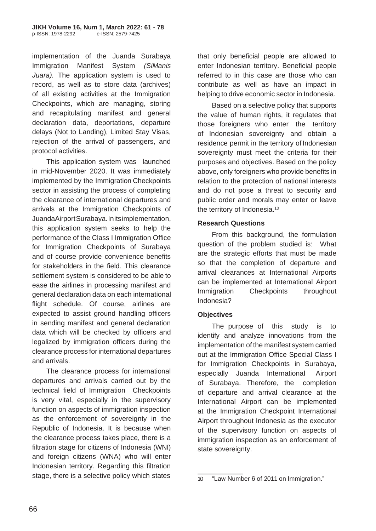implementation of the Juanda Surabaya Immigration Manifest System *(SiManis Juara).* The application system is used to record, as well as to store data (archives) of all existing activities at the Immigration Checkpoints, which are managing, storing and recapitulating manifest and general declaration data, deportations, departure delays (Not to Landing), Limited Stay Visas, rejection of the arrival of passengers, and protocol activities.

This application system was launched in mid-November 2020. It was immediately implemented by the Immigration Checkpoints sector in assisting the process of completing the clearance of international departures and arrivals at the Immigration Checkpoints of JuandaAirportSurabaya.Initsimplementation, this application system seeks to help the performance of the Class I Immigration Office for Immigration Checkpoints of Surabaya and of course provide convenience benefits for stakeholders in the field. This clearance settlement system is considered to be able to ease the airlines in processing manifest and general declaration data on each international flight schedule. Of course, airlines are expected to assist ground handling officers in sending manifest and general declaration data which will be checked by officers and legalized by immigration officers during the clearance process for international departures and arrivals.

The clearance process for international departures and arrivals carried out by the technical field of Immigration Checkpoints is very vital, especially in the supervisory function on aspects of immigration inspection as the enforcement of sovereignty in the Republic of Indonesia. It is because when the clearance process takes place, there is a filtration stage for citizens of Indonesia (WNI) and foreign citizens (WNA) who will enter Indonesian territory. Regarding this filtration stage, there is a selective policy which states

that only beneficial people are allowed to enter Indonesian territory. Beneficial people referred to in this case are those who can contribute as well as have an impact in helping to drive economic sector in Indonesia.

Based on a selective policy that supports the value of human rights, it regulates that those foreigners who enter the territory of Indonesian sovereignty and obtain a residence permit in the territory of Indonesian sovereignty must meet the criteria for their purposes and objectives. Based on the policy above, only foreigners who provide benefits in relation to the protection of national interests and do not pose a threat to security and public order and morals may enter or leave the territory of Indonesia.<sup>10</sup>

#### **Research Questions**

From this background, the formulation question of the problem studied is: What are the strategic efforts that must be made so that the completion of departure and arrival clearances at International Airports can be implemented at International Airport Immigration Checkpoints throughout Indonesia?

## **Objectives**

The purpose of this study is to identify and analyze innovations from the implementation of the manifest system carried out at the Immigration Office Special Class I for Immigration Checkpoints in Surabaya, especially Juanda International Airport of Surabaya. Therefore, the completion of departure and arrival clearance at the International Airport can be implemented at the Immigration Checkpoint International Airport throughout Indonesia as the executor of the supervisory function on aspects of immigration inspection as an enforcement of state sovereignty.

<sup>10</sup> "Law Number 6 of 2011 on Immigration."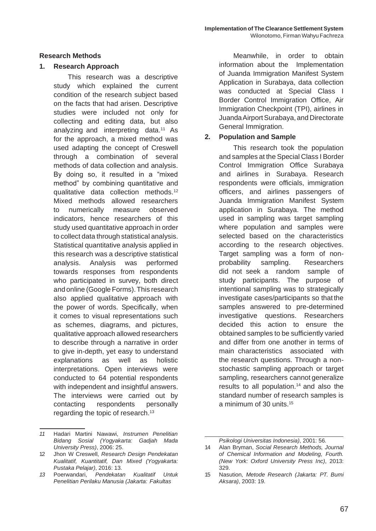### **Research Methods**

### **1. Research Approach**

This research was a descriptive study which explained the current condition of the research subject based on the facts that had arisen. Descriptive studies were included not only for collecting and editing data, but also analyzing and interpreting data.<sup>11</sup> As for the approach, a mixed method was used adapting the concept of Creswell through a combination of several methods of data collection and analysis. By doing so, it resulted in a "mixed method" by combining quantitative and qualitative data collection methods.<sup>12</sup> Mixed methods allowed researchers to numerically measure observed indicators, hence researchers of this study used quantitative approach in order to collect data through statistical analysis. Statistical quantitative analysis applied in this research was a descriptive statistical analysis. Analysis was performed towards responses from respondents who participated in survey, both direct and online (Google Forms).This research also applied qualitative approach with the power of words. Specifically, when it comes to visual representations such as schemes, diagrams, and pictures, qualitative approach allowed researchers to describe through a narrative in order to give in-depth, yet easy to understand explanations as well as holistic interpretations. Open interviews were conducted to 64 potential respondents with independent and insightful answers. The interviews were carried out by contacting respondents personally regarding the topic of research.<sup>13</sup>

Meanwhile, in order to obtain information about the Implementation of Juanda Immigration Manifest System Application in Surabaya, data collection was conducted at Special Class I Border Control Immigration Office, Air Immigration Checkpoint (TPI), airlines in Juanda Airport Surabaya, and Directorate General Immigration.

## **2. Population and Sample**

This research took the population and samples at the Special Class I Border Control Immigration Office Surabaya and airlines in Surabaya. Research respondents were officials, immigration officers, and airlines passengers of Juanda Immigration Manifest System application in Surabaya. The method used in sampling was target sampling where population and samples were selected based on the characteristics according to the research objectives. Target sampling was a form of nonprobability sampling. Researchers did not seek a random sample of study participants. The purpose of intentional sampling was to strategically investigate cases/participants so that the samples answered to pre-determined investigative questions. Researchers decided this action to ensure the obtained samples to be sufficiently varied and differ from one another in terms of main characteristics associated with the research questions. Through a nonstochastic sampling approach or target sampling, researchers cannot generalize results to all population.<sup>14</sup> and also the standard number of research samples is a minimum of 30 units.<sup>15</sup>

*<sup>11</sup>* Hadari Martini Nawawi, *Instrumen Penelitian Bidang Sosial (Yogyakarta: Gadjah Mada University Press)*, 2006: 25.

<sup>12</sup> Jhon W Creswell, *Research Design Pendekatan Kualitatif, Kuantitatif, Dan Mixed (Yogyakarta: Pustaka Pelajar)*, 2016: 13.

*<sup>13</sup>* Poerwandari, *Pendekatan Kualitatif Untuk Penelitian Perilaku Manusia (Jakarta: Fakultas*

*Psikologi Universitas Indonesia)*, 2001: 56.

<sup>14</sup> Alan Bryman, *Social Research Methods, Journal of Chemical Information and Modeling, Fourth. (New York: Oxford University Press Inc)*, 2013: 329.

<sup>15</sup> Nasution, *Metode Research (Jakarta: PT. Bumi Aksara)*, 2003: 19.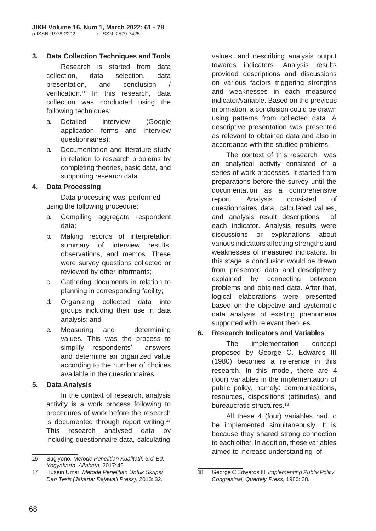## **3. Data Collection Techniques and Tools**

Research is started from data collection, data selection, data presentation, and conclusion / verification.<sup>16</sup> In this research, data collection was conducted using the following techniques:

- a. Detailed interview (Google application forms and interview questionnaires);
- b. Documentation and literature study in relation to research problems by completing theories, basic data, and supporting research data.

## **4. Data Processing**

Data processing was performed using the following procedure:

- a. Compiling aggregate respondent data;
- b. Making records of interpretation summary of interview results, observations, and memos. These were survey questions collected or reviewed by other informants;
- c. Gathering documents in relation to planning in corresponding facility;
- d. Organizing collected data into groups including their use in data analysis; and
- e. Measuring and determining values. This was the process to simplify respondents' answers and determine an organized value according to the number of choices available in the questionnaires.

#### **5. Data Analysis**

In the context of research, analysis activity is a work process following to procedures of work before the research is documented through report writing.<sup>17</sup> This research analysed data by including questionnaire data, calculating values, and describing analysis output towards indicators. Analysis results provided descriptions and discussions on various factors triggering strengths and weaknesses in each measured indicator/variable. Based on the previous information, a conclusion could be drawn using patterns from collected data. A descriptive presentation was presented as relevant to obtained data and also in accordance with the studied problems.

The context of this research was an analytical activity consisted of a series of work processes. It started from preparations before the survey until the documentation as a comprehensive report. Analysis consisted of questionnaires data, calculated values, and analysis result descriptions of each indicator. Analysis results were discussions or explanations about various indicators affecting strengths and weaknesses of measured indicators. In this stage, a conclusion would be drawn from presented data and descriptively explained by connecting between problems and obtained data. After that, logical elaborations were presented based on the objective and systematic data analysis of existing phenomena supported with relevant theories.

#### **6. Research Indicators and Variables**

The implementation concept proposed by George C. Edwards III (1980) becomes a reference in this research. In this model, there are 4 (four) variables in the implementation of public policy, namely: communications, resources, dispositions (attitudes), and bureaucratic structures.<sup>18</sup>

All these 4 (four) variables had to be implemented simultaneously. It is because they shared strong connection to each other. In addition, these variables aimed to increase understanding of

*<sup>16</sup>* Sugiyono, *Metode Penelitian Kualitatif, 3rd Ed. Yogyakarta: Alfabeta*, 2017:49.

<sup>17</sup> Husein Umar, *Metode Penelitian Untuk Skripsi Dan Tesis (Jakarta: Rajawali Press)*, 2013: 32.

<sup>18</sup> George C Edwards III, *Implementing Publik Policy. Congresinal, Quartely Press*, 1980: 38.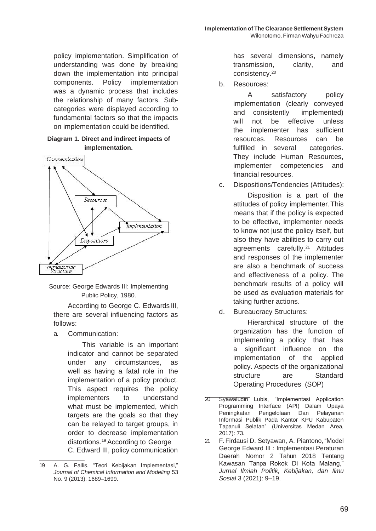policy implementation. Simplification of understanding was done by breaking down the implementation into principal components. Policy implementation was a dynamic process that includes the relationship of many factors. Subcategories were displayed according to fundamental factors so that the impacts on implementation could be identified.

#### **Diagram 1. Direct and indirect impacts of implementation.**



Source: George Edwards III: Implementing Public Policy, 1980.

According to George C. Edwards III, there are several influencing factors as follows:

a. Communication:

This variable is an important indicator and cannot be separated under any circumstances, as well as having a fatal role in the implementation of a policy product. This aspect requires the policy implementers to understand what must be implemented, which targets are the goals so that they can be relayed to target groups, in order to decrease implementation distortions.<sup>19</sup>According to George C. Edward III, policy communication has several dimensions, namely transmission, clarity, and consistency.<sup>20</sup>

b. Resources:

A satisfactory policy implementation (clearly conveyed and consistently implemented) will not be effective unless the implementer has sufficient resources. Resources can be fulfilled in several categories. They include Human Resources, implementer competencies and financial resources.

c. Dispositions/Tendencies (Attitudes):

Disposition is a part of the attitudes of policy implementer.This means that if the policy is expected to be effective, implementer needs to know not just the policy itself, but also they have abilities to carry out agreements carefully.<sup>21</sup> Attitudes and responses of the implementer are also a benchmark of success and effectiveness of a policy. The benchmark results of a policy will be used as evaluation materials for taking further actions.

d. Bureaucracy Structures:

Hierarchical structure of the organization has the function of implementing a policy that has a significant influence on the implementation of the applied policy. Aspects of the organizational structure are Standard Operating Procedures (SOP)

- 20 Syawaludin Lubis, "Implementasi Application Programming Interface (API) Dalam Upaya Peningkatan Pengelolaan Dan Pelayanan Informasi Publik Pada Kantor KPU Kabupaten Tapanuli Selatan" (Universitas Medan Area, 2017): 73.
- 21 F. Firdausi D. Setyawan, A. Piantono,"Model George Edward III : Implementasi Peraturan Daerah Nomor 2 Tahun 2018 Tentang Kawasan Tanpa Rokok Di Kota Malang," *Jurnal Ilmiah Politik, Kebijakan, dan Ilmu Sosial* 3 (2021): 9–19.

<sup>19</sup> A. G. Fallis, "Teori Kebijakan Implementasi," *Journal of Chemical Information and Modeling* 53 No. 9 (2013): 1689–1699.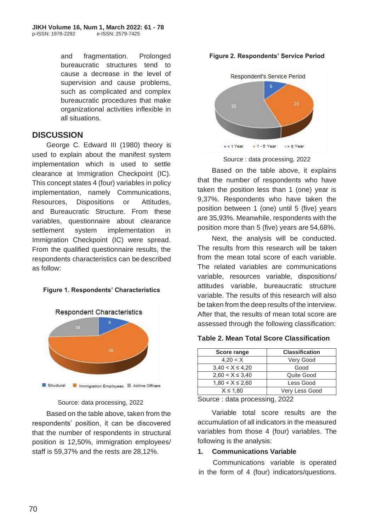and fragmentation. Prolonged bureaucratic structures tend to cause a decrease in the level of supervision and cause problems, such as complicated and complex bureaucratic procedures that make organizational activities inflexible in all situations.

## **DISCUSSION**

George C. Edward III (1980) theory is used to explain about the manifest system implementation which is used to settle clearance at Immigration Checkpoint (IC). This concept states 4 (four) variables in policy implementation, namely Communications, Resources, Dispositions or Attitudes, and Bureaucratic Structure. From these variables, questionnaire about clearance settlement system implementation in Immigration Checkpoint (IC) were spread. From the qualified questionnaire results, the respondents characteristics can be described as follow:

## **Figure 1. Respondents' Characteristics**



Source: data processing, 2022

Based on the table above, taken from the respondents' position, it can be discovered that the number of respondents in structural position is 12,50%, immigration employees/ staff is 59,37% and the rests are 28,12%.





Source : data processing, 2022

Based on the table above, it explains that the number of respondents who have taken the position less than 1 (one) year is 9,37%. Respondents who have taken the position between 1 (one) until 5 (five) years are 35,93%. Meanwhile, respondents with the position more than 5 (five) years are 54,68%.

Next, the analysis will be conducted. The results from this research will be taken from the mean total score of each variable. The related variables are communications variable, resources variable, dispositions/ attitudes variable, bureaucratic structure variable. The results of this research will also be taken from the deep results of the interview. After that, the results of mean total score are assessed through the following classification:

#### **Table 2. Mean Total Score Classification**

| Score range          | <b>Classification</b> |
|----------------------|-----------------------|
| 4.20 < X             | Very Good             |
| $3,40 < X \leq 4,20$ | Good                  |
| $2,60 < X \leq 3,40$ | Quite Good            |
| $1,80 < X \leq 2,60$ | Less Good             |
| $X \leq 1.80$        | Very Less Good        |

Source : data processing, 2022

Variable total score results are the accumulation of all indicators in the measured variables from those 4 (four) variables. The following is the analysis:

### **1. Communications Variable**

Communications variable is operated in the form of 4 (four) indicators/questions.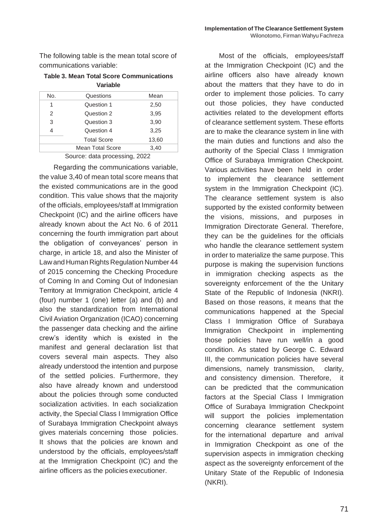The following table is the mean total score of communications variable:

**Table 3. Mean Total Score Communications Variable**

| No. | Questions          | Mean  |
|-----|--------------------|-------|
| 1   | Question 1         | 2,50  |
| 2   | Question 2         | 3,95  |
| 3   | Question 3         | 3,90  |
|     | Question 4         | 3,25  |
|     | <b>Total Score</b> | 13,60 |
|     | Mean Total Score   | 3,40  |

Source: data processing, 2022

Regarding the communications variable, the value 3,40 of mean total score means that the existed communications are in the good condition. This value shows that the majority of the officials, employees/staff at Immigration Checkpoint (IC) and the airline officers have already known about the Act No. 6 of 2011 concerning the fourth immigration part about the obligation of conveyances' person in charge, in article 18, and also the Minister of Law and Human Rights Regulation Number 44 of 2015 concerning the Checking Procedure of Coming In and Coming Out of Indonesian Territory at Immigration Checkpoint, article 4 (four) number 1 (one) letter (a) and (b) and also the standardization from International Civil Aviation Organization (ICAO) concerning the passenger data checking and the airline crew's identity which is existed in the manifest and general declaration list that covers several main aspects. They also already understood the intention and purpose of the settled policies. Furthermore, they also have already known and understood about the policies through some conducted socialization activities. In each socialization activity, the Special Class I Immigration Office of Surabaya Immigration Checkpoint always gives materials concerning those policies. It shows that the policies are known and understood by the officials, employees/staff at the Immigration Checkpoint (IC) and the airline officers as the policies executioner.

Most of the officials, employees/staff at the Immigration Checkpoint (IC) and the airline officers also have already known about the matters that they have to do in order to implement those policies. To carry out those policies, they have conducted activities related to the development efforts of clearance settlement system. These efforts are to make the clearance system in line with the main duties and functions and also the authority of the Special Class I Immigration Office of Surabaya Immigration Checkpoint. Various activities have been held in order to implement the clearance settlement system in the Immigration Checkpoint (IC). The clearance settlement system is also supported by the existed conformity between the visions, missions, and purposes in Immigration Directorate General. Therefore, they can be the guidelines for the officials who handle the clearance settlement system in order to materialize the same purpose. This purpose is making the supervision functions in immigration checking aspects as the sovereignty enforcement of the the Unitary State of the Republic of Indonesia (NKRI). Based on those reasons, it means that the communications happened at the Special Class I Immigration Office of Surabaya Immigration Checkpoint in implementing those policies have run well/in a good condition. As stated by George C. Edward III, the communication policies have several dimensions, namely transmission, clarity, and consistency dimension. Therefore, it can be predicted that the communication factors at the Special Class I Immigration Office of Surabaya Immigration Checkpoint will support the policies implementation concerning clearance settlement system for the international departure and arrival in Immigration Checkpoint as one of the supervision aspects in immigration checking aspect as the sovereignty enforcement of the Unitary State of the Republic of Indonesia (NKRI).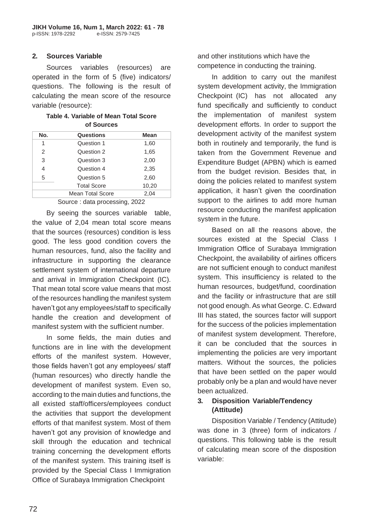### **2. Sources Variable**

Sources variables (resources) are operated in the form of 5 (five) indicators/ questions. The following is the result of calculating the mean score of the resource variable (resource):

#### **Table 4. Variable of Mean Total Score of Sources**

| No. | <b>Questions</b>   | <b>Mean</b> |
|-----|--------------------|-------------|
| 1   | Question 1         | 1,60        |
| 2   | Question 2         | 1,65        |
| 3   | Question 3         | 2,00        |
| 4   | Question 4         | 2,35        |
| 5   | Question 5         | 2,60        |
|     | <b>Total Score</b> | 10,20       |
|     | Mean Total Score   | 2.04        |

Source : data processing, 2022

By seeing the sources variable table, the value of 2,04 mean total score means that the sources (resources) condition is less good. The less good condition covers the human resources, fund, also the facility and infrastructure in supporting the clearance settlement system of international departure and arrival in Immigration Checkpoint (IC). That mean total score value means that most of the resources handling the manifest system haven't got any employees/staff to specifically handle the creation and development of manifest system with the sufficient number.

In some fields, the main duties and functions are in line with the development efforts of the manifest system. However, those fields haven't got any employees/ staff (human resources) who directly handle the development of manifest system. Even so, according to the main duties and functions, the all existed staff/officers/employees conduct the activities that support the development efforts of that manifest system. Most of them haven't got any provision of knowledge and skill through the education and technical training concerning the development efforts of the manifest system. This training itself is provided by the Special Class I Immigration Office of Surabaya Immigration Checkpoint

and other institutions which have the competence in conducting the training.

In addition to carry out the manifest system development activity, the Immigration Checkpoint (IC) has not allocated any fund specifically and sufficiently to conduct the implementation of manifest system development efforts. In order to support the development activity of the manifest system both in routinely and temporarily, the fund is taken from the Government Revenue and Expenditure Budget (APBN) which is earned from the budget revision. Besides that, in doing the policies related to manifest system application, it hasn't given the coordination support to the airlines to add more human resource conducting the manifest application system in the future.

Based on all the reasons above, the sources existed at the Special Class I Immigration Office of Surabaya Immigration Checkpoint, the availability of airlines officers are not sufficient enough to conduct manifest system. This insufficiency is related to the human resources, budget/fund, coordination and the facility or infrastructure that are still not good enough. As what George. C. Edward III has stated, the sources factor will support for the success of the policies implementation of manifest system development. Therefore, it can be concluded that the sources in implementing the policies are very important matters. Without the sources, the policies that have been settled on the paper would probably only be a plan and would have never been actualized.

## **3. Disposition Variable/Tendency (Attitude)**

Disposition Variable / Tendency (Attitude) was done in 3 (three) form of indicators / questions. This following table is the result of calculating mean score of the disposition variable: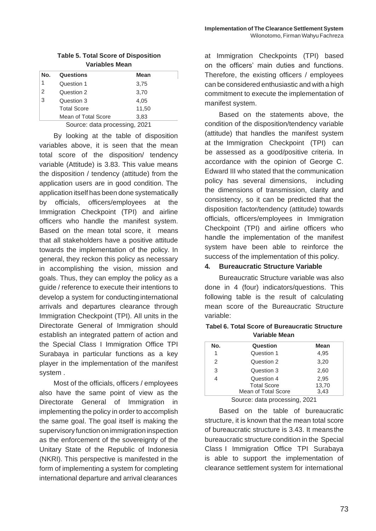| <b>HODIO 0. TOtal OUDIC OF DISPOSITION</b><br>Variables Mean |            |             |  |
|--------------------------------------------------------------|------------|-------------|--|
|                                                              |            |             |  |
| No.                                                          | Questions  | <b>Mean</b> |  |
| 1                                                            | Question 1 | 3.75        |  |
| $\mathcal{P}$                                                | Question 2 | 3.70        |  |
| 3                                                            | Question 3 | 4.05        |  |

**Table 5. Total Score of Disposition** 

Mean of Total Score 3,83 Source: data processing, 2021

Total Score 11,50

By looking at the table of disposition variables above, it is seen that the mean total score of the disposition/ tendency variable (Attitude) is 3.83. This value means the disposition / tendency (attitude) from the application users are in good condition. The application itself has been done systematically by officials, officers/employees at the Immigration Checkpoint (TPI) and airline officers who handle the manifest system. Based on the mean total score, it means that all stakeholders have a positive attitude towards the implementation of the policy. In general, they reckon this policy as necessary in accomplishing the vision, mission and goals. Thus, they can employ the policy as a guide / reference to execute their intentions to develop a system for conductinginternational arrivals and departures clearance through Immigration Checkpoint (TPI). All units in the Directorate General of Immigration should establish an integrated pattern of action and the Special Class I Immigration Office TPI Surabaya in particular functions as a key player in the implementation of the manifest system .

Most of the officials, officers / employees also have the same point of view as the Directorate General of Immigration in implementing the policy in order to accomplish the same goal. The goal itself is making the supervisory function on immigration inspection as the enforcement of the sovereignty of the Unitary State of the Republic of Indonesia (NKRI). This perspective is manifested in the form of implementing a system for completing international departure and arrival clearances

at Immigration Checkpoints (TPI) based on the officers' main duties and functions. Therefore, the existing officers / employees can be considered enthusiastic and with a high commitment to execute the implementation of manifest system.

Based on the statements above, the condition of the disposition/tendency variable (attitude) that handles the manifest system at the Immigration Checkpoint (TPI) can be assessed as a good/positive criteria. In accordance with the opinion of George C. Edward III who stated that the communication policy has several dimensions, including the dimensions of transmission, clarity and consistency, so it can be predicted that the disposition factor/tendency (attitude) towards officials, officers/employees in Immigration Checkpoint (TPI) and airline officers who handle the implementation of the manifest system have been able to reinforce the success of the implementation of this policy.

#### **4. Bureaucratic Structure Variable**

Bureaucratic Structure variable was also done in 4 (four) indicators/questions. This following table is the result of calculating mean score of the Bureaucratic Structure variable:

| vanavic Incan |                     |             |  |
|---------------|---------------------|-------------|--|
| No.           | Question            | <b>Mean</b> |  |
| 1             | Question 1          | 4,95        |  |
| $\mathcal{P}$ | Question 2          | 3,20        |  |
| 3             | Question 3          | 2,60        |  |
| 4             | Question 4          | 2,95        |  |
|               | <b>Total Score</b>  | 13,70       |  |
|               | Mean of Total Score | 3.43        |  |

**Tabel 6. Total Score of Bureaucratic Structure Variable Mean**

Source: data processing, 2021

Based on the table of bureaucratic structure, it is known that the mean total score of bureaucratic structure is 3.43. It meansthe bureaucratic structure condition in the Special Class I Immigration Office TPI Surabaya is able to support the implementation of clearance settlement system for international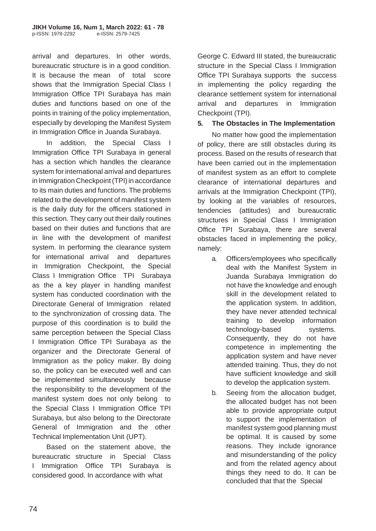arrival and departures. In other words, bureaucratic structure is in a good condition. It is because the mean of total score shows that the Immigration Special Class I Immigration Office TPI Surabaya has main duties and functions based on one of the points in training of the policy implementation, especially by developing the Manifest System in Immigration Office in Juanda Surabaya.

In addition, the Special Class I Immigration Office TPI Surabaya in general has a section which handles the clearance system for international arrival and departures in Immigration Checkpoint (TPI) in accordance to its main duties and functions. The problems related to the development of manifest system is the daily duty for the officers stationed in this section. They carry out their daily routines based on their duties and functions that are in line with the development of manifest system. In performing the clearance system for international arrival and departures in Immigration Checkpoint, the Special Class I Immigration Office TPI Surabaya as the a key player in handling manifest system has conducted coordination with the Directorate General of Immigration related to the synchronization of crossing data. The purpose of this coordination is to build the same perception between the Special Class I Immigration Office TPI Surabaya as the organizer and the Directorate General of Immigration as the policy maker. By doing so, the policy can be executed well and can be implemented simultaneously because the responsibility to the development of the manifest system does not only belong to the Special Class I Immigration Office TPI Surabaya, but also belong to the Directorate General of Immigration and the other Technical Implementation Unit (UPT).

Based on the statement above, the bureaucratic structure in Special Class I Immigration Office TPI Surabaya is considered good. In accordance with what

George C. Edward III stated, the bureaucratic structure in the Special Class I Immigration Office TPI Surabaya supports the success in implementing the policy regarding the clearance settlement system for international arrival and departures in Immigration Checkpoint (TPI).

## **5. The Obstacles in The Implementation**

No matter how good the implementation of policy, there are still obstacles during its process. Based on the results of research that have been carried out in the implementation of manifest system as an effort to complete clearance of international departures and arrivals at the Immigration Checkpoint (TPI), by looking at the variables of resources, tendencies (attitudes) and bureaucratic structures in Special Class I Immigration Office TPI Surabaya, there are several obstacles faced in implementing the policy, namely:

- a. Officers/employees who specifically deal with the Manifest System in Juanda Surabaya Immigration do not have the knowledge and enough skill in the development related to the application system. In addition, they have never attended technical training to develop information technology-based systems. Consequently, they do not have competence in implementing the application system and have never attended training. Thus, they do not have sufficient knowledge and skill to develop the application system.
- b. Seeing from the allocation budget, the allocated budget has not been able to provide appropriate output to support the implementation of manifest system good planning must be optimal. It is caused by some reasons. They include ignorance and misunderstanding of the policy and from the related agency about things they need to do. It can be concluded that that the Special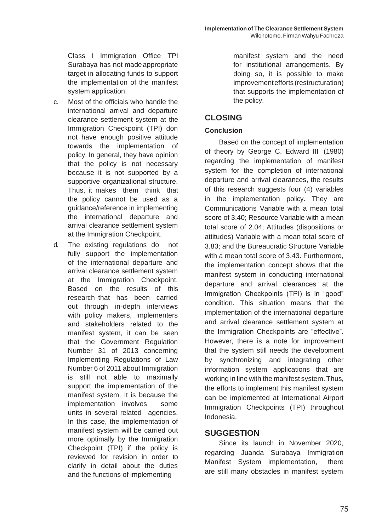Class I Immigration Office TPI Surabaya has not madeappropriate target in allocating funds to support the implementation of the manifest system application.

- c. Most of the officials who handle the international arrival and departure clearance settlement system at the Immigration Checkpoint (TPI) don not have enough positive attitude towards the implementation of policy. In general, they have opinion that the policy is not necessary because it is not supported by a supportive organizational structure. Thus, it makes them think that the policy cannot be used as a guidance/reference in implementing the international departure and arrival clearance settlement system at the Immigration Checkpoint.
- d. The existing regulations do not fully support the implementation of the international departure and arrival clearance settlement system at the Immigration Checkpoint. Based on the results of this research that has been carried out through in-depth interviews with policy makers, implementers and stakeholders related to the manifest system, it can be seen that the Government Regulation Number 31 of 2013 concerning Implementing Regulations of Law Number 6 of 2011 about Immigration is still not able to maximally support the implementation of the manifest system. It is because the implementation involves some units in several related agencies. In this case, the implementation of manifest system will be carried out more optimally by the Immigration Checkpoint (TPI) if the policy is reviewed for revision in order to clarify in detail about the duties and the functions of implementing

manifest system and the need for institutional arrangements. By doing so, it is possible to make improvementefforts (restructuration) that supports the implementation of the policy.

# **CLOSING**

## **Conclusion**

Based on the concept of implementation of theory by George C. Edward III (1980) regarding the implementation of manifest system for the completion of international departure and arrival clearances, the results of this research suggests four (4) variables in the implementation policy. They are Communications Variable with a mean total score of 3.40; Resource Variable with a mean total score of 2.04; Attitudes (dispositions or attitudes) Variable with a mean total score of 3.83; and the Bureaucratic Structure Variable with a mean total score of 3.43. Furthermore, the implementation concept shows that the manifest system in conducting international departure and arrival clearances at the Immigration Checkpoints (TPI) is in "good" condition. This situation means that the implementation of the international departure and arrival clearance settlement system at the Immigration Checkpoints are "effective". However, there is a note for improvement that the system still needs the development by synchronizing and integrating other information system applications that are working in line with the manifest system. Thus, the efforts to implement this manifest system can be implemented at International Airport Immigration Checkpoints (TPI) throughout Indonesia.

## **SUGGESTION**

Since its launch in November 2020, regarding Juanda Surabaya Immigration Manifest System implementation, there are still many obstacles in manifest system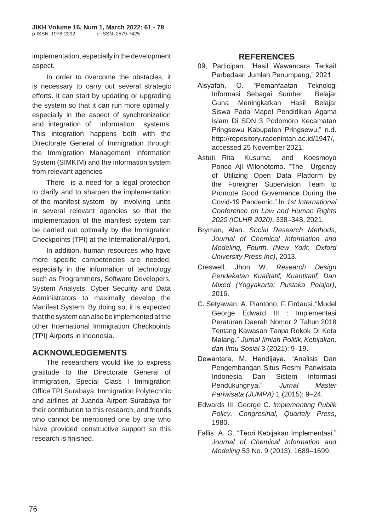implementation, especially in the development aspect.

In order to overcome the obstacles, it is necessary to carry out several strategic efforts. It can start by updating or upgrading the system so that it can run more optimally, especially in the aspect of synchronization and integration of information systems. This integration happens both with the Directorate General of Immigration through the Immigration Management Information System (SIMKIM) and the information system from relevant agencies

There is a need for a legal protection to clarify and to sharpen the implementation of the manifest system by involving units in several relevant agencies so that the implementation of the manifest system can be carried out optimally by the Immigration Checkpoints (TPI) at the InternationalAirport.

In addition, human resources who have more specific competencies are needed, especially in the information of technology such as Programmers, Software Developers, System Analysts, Cyber Security and Data Administrators to maximally develop the Manifest System. By doing so, it is expected that the system can also be implemented at the other International Immigration Checkpoints (TPI) Airports in Indonesia.

# **ACKNOWLEDGEMENTS**

The researchers would like to express gratitude to the Directorate General of Immigration, Special Class I Immigration Office TPI Surabaya, Immigration Polytechnic and airlines at Juanda Airport Surabaya for their contribution to this research, and friends who cannot be mentioned one by one who have provided constructive support so this research is finished.

## **REFERENCES**

- 09, Participan. "Hasil Wawancara Terkait Perbedaan Jumlah Penumpang," 2021.
- Aisyafah, O. "Pemanfaatan Teknologi Informasi Sebagai Sumber Belajar Guna Meningkatkan Hasil Belajar Siswa Pada Mapel Pendidikan Agama Islam Di SDN 3 Podomoro Kecamatan Pringsewu Kabupaten Pringsewu," n.d. [http://repository.radenintan.ac.id/1947/,](http://repository.radenintan.ac.id/1947/) accessed 25 November 2021.
- Astuti, Rita Kusuma, and Koesmoyo Ponco Aji Wilonotomo. "The Urgency of Utilizing Open Data Platform by the Foreigner Supervision Team to Promote Good Governance During the Covid-19 Pandemic." In *1st International Conference on Law and Human Rights 2020 (ICLHR 2020)*, 338–348, 2021.
- Bryman, Alan. *Social Research Methods, Journal of Chemical Information and Modeling, Fourth. (New York: Oxford University Press Inc)*, 2013.
- Creswell, Jhon W. *Research Design Pendekatan Kualitatif, Kuantitatif, Dan Mixed (Yogyakarta: Pustaka Pelajar)*, 2016.
- C. Setyawan, A. Piantono, F. Firdausi."Model George Edward III : Implementasi Peraturan Daerah Nomor 2 Tahun 2018 Tentang Kawasan Tanpa Rokok Di Kota Malang." *Jurnal Ilmiah Politik,Kebijakan, dan Ilmu Sosial* 3 (2021): 9–19.
- Dewantara, M. Handijaya. "Analisis Dan Pengembangan Situs Resmi Pariwisata Indonesia Dan Sistem Informasi Pendukungnya." *Jurnal Master Pariwisata (JUMPA)* 1 (2015): 9–24.
- Edwards III, George C. *Implementing Publik Policy. Congresinal, Quartely Press*, 1980.
- Fallis, A. G. "Teori Kebijakan Implementasi." *Journal of Chemical Information and Modeling* 53 No. 9 (2013): 1689–1699.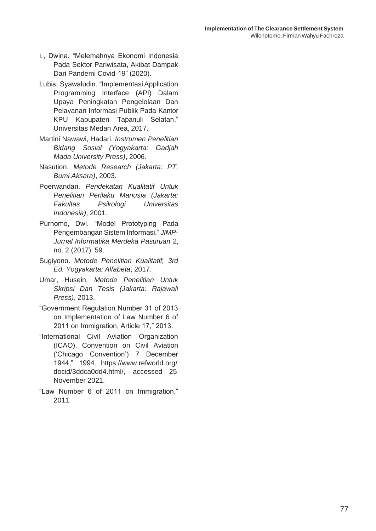- I., Dwina. "Melemahnya Ekonomi Indonesia Pada Sektor Pariwisata, Akibat Dampak Dari Pandemi Covid-19" (2020).
- Lubis, Syawaludin. "Implementasi Application Programming Interface (API) Dalam Upaya Peningkatan Pengelolaan Dan Pelayanan Informasi Publik Pada Kantor KPU Kabupaten Tapanuli Selatan." Universitas Medan Area, 2017.
- Martini Nawawi, Hadari. *Instrumen Penelitian Bidang Sosial (Yogyakarta: Gadjah Mada University Press)*, 2006.
- Nasution. *Metode Research (Jakarta: PT. Bumi Aksara)*, 2003.
- Poerwandari. *Pendekatan Kualitatif Untuk Penelitian Perilaku Manusia (Jakarta: Fakultas Psikologi Universitas Indonesia)*, 2001.
- Purnomo, Dwi. "Model Prototyping Pada Pengembangan Sistem Informasi." *JIMP-Jurnal Informatika Merdeka Pasuruan* 2, no. 2 (2017): 59.
- Sugiyono. *Metode Penelitian Kualitatif, 3rd Ed. Yogyakarta: Alfabeta*, 2017.
- Umar, Husein. *Metode Penelitian Untuk Skripsi Dan Tesis (Jakarta: Rajawali Press)*, 2013.
- "Government Regulation Number 31 of 2013 on Implementation of Law Number 6 of 2011 on Immigration, Article 17," 2013.
- "International Civil Aviation Organization (ICAO), Convention on Civil Aviation ('Chicago Convention') 7 December 1944," 1994. [https://www.refworld.org/](http://www.refworld.org/) docid/3ddca0dd4.html/, accessed 25 November 2021.
- "Law Number 6 of 2011 on Immigration," 2011.